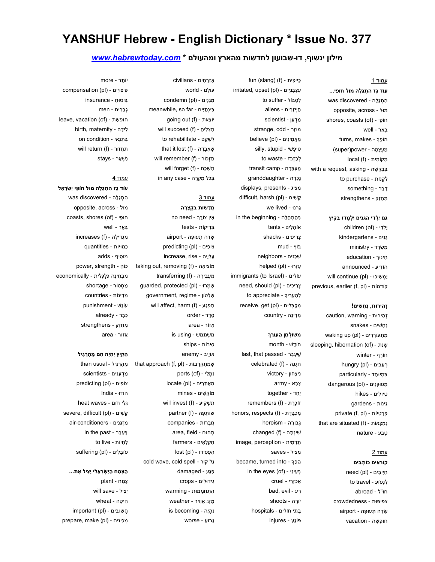# YANSHUF Hebrew - English Dictionary \* Issue No. 377

## מילון ינשוף, דו-שבועון לחדשות מהארץ ומהעולם \* www.hebrewtoday.com

#### עמוד 1

עוֹד ָגז ִה ְתַג ָלה מוּל חוֹ ֵפי... ִה ְתַגָלה - discovered was opposite, across - מוּל shores, coasts (of) - פיֵ חוֹ ְבּ ֵאר - well הוֹפֵךְ - turns, makes ַמ ֲע ָצ ָמה - power)super ( מִקוֹמִית - (local (f with a request, asking - בְּבָקֵשָׁה to purchase - לִקְנוֹת ָד ָבר - something ְמ ַחֵזק - strengthens

### ַגם יַלְדֵי הַגְנִים יִלְמְדוּ בַּקְיִץ

children (of) - יַלדי ַגִנים - kindergartens ִמ ְשָׂרד - ministry ִחינוּ˂ - education הוֹ ִדי ַע - announced יַמְשִׁיכוּ - (will continue (pl previous, earlier (f, pl) - דמוֹתְ קוֹ

#### זהירוּת, נְחָשִׁים!

r ֵזְהִירוּת - caution, warning ְנ ָח ִשׁים - snakes ִמ ְתעוְֹרִרים - (pl (up waking sleeping, hibernation (of) - נתַשְׁ חוֶֹרף - winter hungry (pl) - רְעֵבִים ִבּ ְמיוּ ָחד - particularly מסוּ *כּנים* - (dangerous (pl ִטיוּ ִלים - hikes ִגינוֹת - gardens private (f, pl) - פְּרָטִיוֹת that are situated (f) - נִמְצָאוֹת ֶט ַבע - nature

## עמוד 2

קוראים כּוֹתבים ַחיָי ִבים - (pl (need to travel - לנסוֹע חוּ"ל - abroad ְצ ִפיפוּת - crowdedness ְשֵׂדה ְתעוּ ָפה - airport

חוּ ְפ ָשׁה - vacation

 $irritical, upset (pl)$ - עַצְבָּנִיִים to suffer - לְסְבּוֹל ַחְיי ָזִרים - aliens ַמְד ָען - scientist strange, odd - מוּזָר ַמ ֲא ִמי ִנים - (pl (believe silly, stupid - טִיפָּשִׁי to waste - לְבָזְבֵּז ַמ ְע ָבָּרה - camp transit ֶנ ְכָדה - granddaughter ַמ ִציג - presents ,displays difficult, harsh (pl) - שׁיםִ קָ ַגְרנוּ - lived we  $in$  the beginning - בְּהַתְחַלָּה אוֹ ָה ִלים - tents ְצִרי ִפים - shacks בּוֹץ - mud ְשׁ ֵכ ִנים - neighbors helped (pl) - עַזְרוּ immigrants (to Israel) - ליםִ עוֹ  $need$ , should (pl) - צְרִיכִים to appreciate - להַעֲרִיר  $receive, get (pl)$ - מְקַבְּלִים ְמִדיָנה - country

fun (slang) (f) - פיתִ כּייֵ

#### ְמִשׁוּלְחָן הָעוֹרֵךְ

חוֶֹדשׁ - month last, that passed - שַׁעָבָר celebrated (f) - תְגָנָה ִני ָצחוֹן - victory ָצ ָבא - army יַ ַחד - together remembers (f) - זוֹכֵרֶת honors, respects (f) - מְכַבֵּדֶת ְגבוָּרה - heroism changed (f) - שִׁינְתָה image, perception - תַדְמִית ַמ ִציל - saves became, turned into - הַפָּךְ in the eyes (of) - בְּעֵינֵי ַא ְכ ָזִרי - cruel bad, evil - רעַ יוֶֹרה - shoots ָבּ ֵתי חוֹ ִלים - hospitals פּוֹ ֵג ַע - injures

ֶא ְזָר ִחים - civilians עוֹ ָלם - world condemn (pl) - מְגֵנִים meanwhile, so far - בֵינְתַיִּים going out (f) - צאתֵ יוֹ תַצְלִיחַ - (f) will succeed to rehabilitate - לשהם that it lost (f) - שֶׁאָבְדָה will remember (f) - זכּוֹרְ תִ תִשְׁכֵּח - (will forget (f in any case - בכל מקרה

## עמוד 3

ֲחָדשׁוֹת ִבּ ְק ָצָרה ֵאין צוֶֹר˂ - need no ְבִּדיקוֹת - tests ְשֵׂדה ְתעוּ ָפה - airport צוֹפִים - (predicting (pl increase, rise - עליַיה taking out, removing (f) - אהָ ציִ מוֹ transferring (f) - מַעֲבִירָה guarded, protected (pl) - מרוְּ שָׁ government, regime - שִׁלְטוֹן will affect, harm (f) - תִפְגֵע ֵסֶדר - order ֵאזוֹר - area ִמ ְשׁ ַת ֵמשׁ - using is ִסירוֹת - ships אוֹיֵיב - enemy that approach (f, pl) - שַׁמְתִקְרָבוֹת נִמְלֵי - (ports (of hocate (pl) - מְאֵתְרִים מוֹ ְק ִשׁים - mines will invest (f) - תַשְׁקִיעַ שוּתַפָּה - (f) ֲח ָברוֹת - companies area, field - תחוּםְ ַח ְקָל ִאים - farmers הַפְּסִידוּ - (lost (pl cold wave, cold spell - קוֹר גלַ ָפַּגע - damaged ִגידוּ ִלים - crops ִה ְת ַח ְממוּת - warming ֶמֶזג ֲאִוויר - weather is becoming - נִהְיָה ָגרוּ ַע - worse

יוֹ ֵתר - more compensation (pl) - פּיצוּיִים ִבּיטוּ ַח - insurance ְגָבִרים - men leave, vacation (of) - חוּפָשָׁת ֵליָדה - maternity ,birth ִבּ ְתַנאי - condition on will return (f) - תַחֲזוֹר stays - נִשְׁאַר

#### עמוד 4

עוֹד ָגז ִה ְתַג ָלה מוּל חוֹ ֵפי ִי ְשָׂר ֵאל ִה ְתַגָלה - discovered was opposite, across - מוּל coasts, shores (of) - פיֵ חוֹ ְבּ ֵאר - well increases (f) - מַגְדִילָה ַכּמוּיוֹת - quantities מוֹ ִסיף - adds כּוֹחַ - power, strength ִמ ְבּ ִחי ָנה ַכּ ְל ָכּ ִלית - economically ַמ ְחסוֹר - shortage ְמִדינוֹת - countries עוֶֹנשׁ - punishment ְכּ ָבר - already ְמ ַחֵזק - strengthens ֵאזוֹר - area

ַהַקִיץ ִי ְהֶיה ַחם ֵמ ָהָר ִגיל ֵמ ָהָר ִגיל - usual than ַמְד ָע ִנים - scientists צוֹפִים - (predicting (pl הוֹדוּ - India heat waves - גַלֵי חוֹם severe, difficult (pl) - שׁיםִ קָ ַמ ְזָגִנים - conditioners-air in the past - בֵעֲבָר לְחִיוֹת - to live oוֹבָלִים - (suffering (pl

הַצֶּמַח הַיִשְׂרְאֵלי יַצִיל אֶת... ֶצ ַמח - plant יַ ִציל - save will ִחי ָטה - wheat important (pl) - חֲשׁוּ בִים prepare, make (pl) - מכינים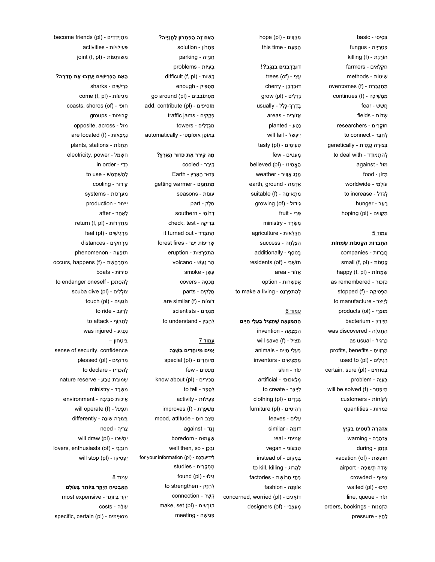ְבּ ִסי ִסי - basic ִפּ ְטִריָיה - fungus הוֹרֶגֶת - (killing (f ַח ְקָל ִאים - farmers ִשׁיטוֹת - methods ִמ ְתַגֶבֶּרת - (f (overcomes ממִשִׁיכָה - (f continues ֲח ָשׁשׁ - fear ְשׂדוֹת - fields חוֹ ְקִרים - researchers to connect - לחבר ְבּצוָּרה ֶגֶנ ִטית - genetically לְהָתְמוֹדֵד - to deal with מוּל - against ָמזוֹן - food עוֹ ָל ִמי - worldwide to increase - לְגְדֵל hunger - רעב hoping (pl) - מַקֵווים

### עמוד 5

ַה ֲח ָברוֹת ַה ְק ַטנוֹת ְשׂ ֵמחוֹת ֲח ָברוֹת - companies small (f, pl) - טנוֹתַ קְ happy (f, pl) - שְׂמָחוֹת ַכּ ָזכוּר - remembered as stopped (f) - הִפְּסִיקָה to manufacture - לְיַיצֵר products (of) - מוּצַרי ַחְייַדק - bacterium ִה ְתַגָלה - discovered was ָכָּר ִגיל - usual as ַמְרִווי ַח - benefits ,profits used to (pl) - רְגִילִים certain, sure (pl) - בְּטוּחִים ְבּ ָעיָה - problem will be solved (f) - תִיפָּטֵר ָלקוֹחוֹת - customers ַכּמוּיוֹת - quantities

#### ַא ְז ָהָרה ַל ָט ִסים ַבַּקִיץ

ַא ְז ָהָרה - warning ִבּ ְז ַמן - during nוּפָשָׁת - (vacation (of ְשֵׂדה ְתעוּ ָפה - airport ָצפוּף - crowded waited (pl) - חיכּוִּ line, queue - תוֹר orders, bookings - הַזְמָנוֹת ַל ַחץ - pressure

hope (pl) - מַקַווים הפּעם - this time

# דוּבְדְבָנִים בֵּנֶגֶב?!

 $trees$  (of) - עצי דוּ ְבְד ָבן - cherry גְדֵלִים - (grow (pl ְבֶּדֶר˂- ְכּ ָלל - usually ֲאזוִֹרים - areas **planted - נָטַע** ִיי ָכּ ֵשׁל - fail will tasty (pl) - טְעִימִים ְמ ַע ִטים - few הֲאֱמִינוּ - (believed (pl ֶמֶזג ֲאִוויר - weather earth, ground - אֲדָמָה מֵתָאִימָה - (suitable (f growing (of) - גידוּלִ ְפִּרי - fruit ִמ ְשָׂרד - ministry ַח ְקָלאוּת - agriculture ַה ְצ ָל ָחה - success ְבּנוֹ ָסף - additionally residents (of) - תוֹשֶׁבֵי ֵאזוֹר - area ֶא ְפ ָשׁרוּת - option to make a living - לְהִתְפַּרְנֵס

#### עמוד 6

ה מצאַה שִׁתַצִיל בַּעֲלֵי חַיִּים ַה ְמ ָצ ָאה - invention will save (f) - תַּצִיל ַבּ ֲעֵלי ַחִיים - animals ַמ ְמ ִצי ִאים - inventors עוֹר - skin ְמָלאכוּ ִתי - artificial to create - לְיַיצֵר ְבָּגִדים - (pl (clothing furniture (pl) - רְהִיטִים ָע ִלים - leaves דוֹ ֶמה - similar ֲא ִמי ִתי - real ִט ְבעוֹ ִני - vegan ִבּ ְמקוֹם - of instead to kill, killing - הרוֹגֲ לַ ָבּ ֵתי ֲחרוֹ ֶשׁת - factories אוֹ ְפָנה - fashion concerned, worried (pl) - דוֹאֲגִים designers (of) - מְעֲצָבֵי

# ַה ִאם ֶזה ַה ִפּ ְתרוֹן ַל ֲחָנָייה? ִפּ ְתרוֹן - solution ֲחָניָיה - parking ְבּ ָעיוֹת - problems difficult (f, pl) - קשׁוֹתָ ַמ ְס ִפּיק - enough ִמ ְסתוֹ ְב ִבים - (pl (around go add, contribute (pl) - מוֹסִיפִים traffic jams - פְּקֵקִים

ִמ ְגָד ִלים - towers ְבּאוֹ ֶפן אוֹטוֹ ָמ ִטי - automatically

#### ָמה ֵקיֵרר ֶאת ַכּדוּר ָה ָאֶרץ?

ֵקיֵרר - cooled ַכּדוּר ָה ָאֶרץ - Earth ִמ ְת ַח ֵמם - warmer getting עוֹנוֹת - seasons ֵחֶלק - part ְדרוֹ ִמי - southern בִּדִיקָה - check, test it turned out - התברר forest fires - שְׂרֵיפוֹת יַעַר ִה ְת ָפְּרצוּת - eruption ַהר ַגַעשׁ - volcano ָע ָשׁן - smoke מִכַּסֵה - covers ֲחָל ִקים - parts are similar (f) - דוֹמוֹת מנסים - scientists to understand - לְהָבִין

## עמוד 7

ָיָמִים מִיוּחָדִים בְּשָׁנָה מיוּחַדים - (special (pl ְמ ַע ִטים - few מְכִירִים - (know about (pl to tell - לְסַפֵּר ְפּ ִעילוּת - activity improves (f) - מַשַּׁפֵּרֶת mood, attitude - מַצַב רוּחַ ֶנֶגד - against ִשֲׁעמוּם - boredom וּבְכֵן - well then, so ִלי ִדי ַע ְתֶכם - (pl (information your for ֶמ ְחָקִרים - studies found (pl) - גילוִּ to strengthen - לְחַזֵק ֶק ֶשׁר - connection make, set (pl) - קוֹבְעִים ְפּ ִגי ָשׁה - meeting

מְתַיַיִדִים - (become friends (pl ְפּ ִעילוּיוֹת - activities joint (f, pl) - מְשׁוּתָפוֹת

#### ָה ְהָכִּרִישִׁים יַעַזבוּ אֶת חַדְרָה

ְכִּרי ִשׁים - sharks come (f, pl) - גיעוֹתִ מַ coasts, shores (of) - פיֵ חוֹ ְקבוּצוֹת - groups opposite, across - מוּל are located (f) - נִמְצָאוֹת ַת ֲחנוֹת - stations ,plants ַח ְשׁ ַמל - power ,electricity in order - כְּדֵי לְהָשְׁתֲמֶשׁ - to use ֵקירוּר - cooling ַמ ַעְרכוֹת - systems ִייצוּר - production after - לְאֵחֵר return (f, pl) - מַחֲזִירוֹת מרגישים - (pl) feel ֶמְר ַח ִקים - distances תוֹ ָפ ָעה - phenomenon מתְרַחֲשֶׁת - (f) occurs, happens ִסירוֹת - boats to endanger oneself - לְהִסְתַכֵּן scuba dive (pl) - צוֹלְלִים touch (pl) - נוֹגְעִים to ride - לרכב to attack - לְתְקוֹף  $was$  injured - נפגע ִבּי ָטחוֹן – sense of security, confidence pleased (pl) - מְרוּצִים to declare - לְהַכְרִיז ְשׁמוַּרת ֶט ַבע - reserve nature ִמ ְשָׂרד - ministry ֵאיכוּת ְס ִבי ָבה - environment will operate (f) - תִפְעַל בִּצוּרָה שׁוֹנָה - differently ָצִרי˂ - need ימשכוּ - (will draw (pl lovers, enthusiasts (of) - חוֹבְבֵי יַפְסִיקוּ - (will stop (pl

## עמוד 8

הָאֲבָטִיחַ הַיָּקָר בִּיוֹתֵר בָּעוֹלָם יָ ָקר ְבּיוֹ ֵתר - expensive most עוֶֹלה - costs specific, certain (pl) - מסוּיָימִים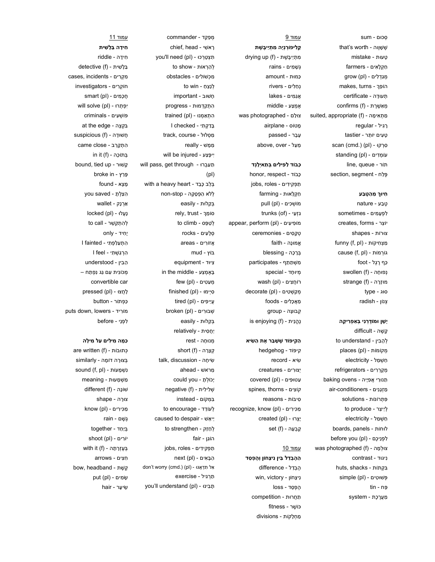ְסכוּם - sum that's worth - שׁשׁווה ָטעוּת - mistake ַח ְקָל ִאים - farmers מִגַּדְלִים - (grow (pl makes, turns - הוֹפֵךְ ְתעוָּדה - certificate confirms (f) - מְאֵשֶׁרֶת ַמ ְת ִאי ָמה - (f (appropriate ,suited regular - רְגִיל ָט ִעים יוֹ ֵתר - tastier scan (cmd.) (pl) - סְרְקוּ עוֹ ְמִדים - (pl (standing line, queue - תוֹר section, segment - פֵלַח

## ִחיוּ˂ ֵמ ַה ֶט ַבע

ֶט ַבע - nature ִל ְפ ָע ִמים - sometimes יוֹצֵר - creates, forms צוּרוֹת - shapes מַצְחִיקוֹת - (f, pl) cause (f, pl) - גוֹרְמוֹת ַכּף ֶרֶגל - foot נפוּחָה - (swollen (f מוּזָרָה - (f) strange סוּג - type ְצנוֹן - radish

### ָיַשׁן וּמוֹדֵרנִי בְּאַפְרִיקָה

ָק ֶשׁה - difficult to understand - לְהָבִין places (pl) - מקוֹמוֹתְ ַח ְשׁ ַמל - electricity ְמָקְרִרים - refrigerators תֵּנוּרֵי אֲפָיָיה - baking ovens ַמ ְזָגִנים - conditioners-air ִפּ ְתרוֹנוֹת - solutions to produce - לְיַיצֵר ַח ְשׁ ַמל - electricity boards, panels - לוּחוֹת  $before$  you (pl) - לפניכם was photographed (f) - צוּלְמָה ִניגוּד - contrast huts, shacks - בִּקְתוֹת simple (pl) - פּשׁוּטִים ַפּח - tin ַמ ֲעֶר ֶכת - system

עמוד 9 ָק ִליפוְֹר ְנָיה ִמ ְתַיי ֶבּ ֶשׁת מִתְיַיֶּבֶשֶׁת - (drying up (f ְג ָשׁ ִמים - rains ַכּמוּת - amount ְנ ַח ִלים - rivers ֲאַג ִמים - lakes ֶא ְמ ַצע - middle צוַּלם - photographed was ָמטוֹס - airplane ָע ָבר - passed ֵמ ַעל - over ,above

## ַכְּבוֹד לַפִּילִים בְּתַאיְלָנְד

 honor, respect - כּבוֹדָ ֿתַפְקִידִים - jobs, roles ַח ְקָלאוּת - farming מוֹשְׁכִים - (pull (pl trunks (of) - גְּזַעֵי appear, perform (pl) - מוֹפִיעִים ְטָק ִסים - ceremonies ֱאמוָּנה - faith ְבָּר ָכה - blessing ִמ ְשׁ ַת ֵתף - participates ְמיוּ ָחד - special רוֹחֲצִים - (wash (pl מְקַשְׁטִים - (decorate (pl ַמ ֲא ָכ ִלים - foods ְקבוּ ָצה - group is enjoying (f) - נֶהֱנֵית

## ַה ִקיפּוֹד ֶשׁ ָשׁ ַבר ֶאת ַה ִשׂיא

ִקיפּוֹד - hedgehog ִשׂיא - record ְיצוִּרים - creatures ַעטוּ ִפּים - (pl (covered spines, thorns - קוֹצִים ִסיבּוֹת - reasons  $recognize$ , know (pl) - מַכִּירִים created (pl) - יָצְרוּ set (f) - קְבְעָה

## עמוד 10

הַהָּבְדֵל בֵּין נִיצָחוֹן וְהֶפְסַד ֶה ְבֵדל - difference win, victory - נִיצָחוֹן הַפְּסֵד - loss ַת ֲחרוּת - competition כּוֹ ֶשׁר - fitness ַמ ְחָלקוֹת - divisions

ְמ ַפֵקד - commander chief, head - ראשי you'll need (pl) - תִּצְטֶרְכוּ לְהַרְאוֹת - to show ִמ ְכשׁוֹ ִלים - obstacles to win - לְנַצֶח ָחשׁוּב - important ִה ְתַקְדמוּת - progress הְתָאֲמָנוּ - (pl) הְתָאֲמָנוּ ָבַּד ְק ִתי - checked I  $track, course - by$ ַמ ָמשׁ - really יִיפָּצַע - will be injured will pass, get through - תַעַבְרוּ (pl) with a heavy heart - בְּלֵב כָּבֵד ְללֹא ַה ְפ ָסָקה - stop-non ְבַּקלוּת - easily rely, trust - סוֹמֵך to climb - לַטַפָּס rocks - סלעים ֲאזוִֹרים - areas בּוֹץ - mud ִציוּד - equipment in the middle - בַּאֲמָצָע תּעַטִים - (few (pl finished (pl) - סְיִימוּ  $tired$  (pl) - עֵיֵיפִים broken (pl) - שבוּרים ְבַּקלוּת - easily יַ ֲח ִסית - relatively ְמנוּ ָחה - rest short (f) - קְצָרָה talk, discussion - שיחה ֵמרֹאשׁ - ahead יָכוֹ ְל ָת - you could negative (f) - שְׁלִילִית ִבּ ְמקוֹם - instead to encourage - לְעוֹדֵד caused to despair - יֵיאֵשׁ to strengthen - לְחַזֵק הוֹ ֵגן - fair ֿתַפְקִידִים - jobs, roles next (pl) - הַבָּאִים don't worry (cmd.) (pl) - אֵל תִדְאֲגוּ ַתְר ִגיל - exercise

you'll understand (pl) - בינוִּ תָ

עמוד 11 ִחיָדה ַבָּל ִשׁית ִחיָדה - riddle  $d$ etective (f) - בַּלְשִׁית cases, incidents - מקרים חוֹ ְקִרים - investigators הֵכְמִים - (smart (pl יִפְתְרוּ - (will solve (pl פּוֹ ְשׁ ִעים - criminals at the edge - בִּקְצֵה הֵשׁוּדָה - (f) suspicious הַתְקָרֵב - came close in it (f) - כהָ בּתוְֹ bound, tied up - קשׁוּרָ ָפַּרץ - in broke ָמ ָצא - found ִה ַצ ְל ָת - saved you ַאְרָנק - wallet  $locked$  (pl) - נַעֲלוּ להֶתְקַשֶּׁר - to call יָ ִחיד - only ִה ְת ַעַל ְפ ִתי - fainted I ִהְר ַג ְשׁ ִתי - feel I ֵה ִבין - understood ְמכוֹ ִנית ִעם ַגג ִנ ְפ ַתח – convertible car ָל ֲחצוּ - (pl (pressed ַכּ ְפתוֹר - button puts down, lowers - רידִמוֹ ִל ְפֵני - before

## ַכְּמָה מִילִים עַל מִילָה

 are written (f) - כּתוּבוֹתְ ְבּצוָּרה דוֹ ָמה - similarly sound (f, pl) - נִשְׁמָעוֹת ַמ ְשׁ ָמעוּת - meaning שׁוֹנָה - (different (f צוָּרה - shape מַכִּירִים - (know (pl ֶג ֶשׁם - rain ְבּיַ ַחד - together shoot (pl) - יוֹרים with it (f) - בְּעֶזְרָתָה ִח ִצים - arrows headband - קשת שׂמִים - (put (pl hair - שִׂיעָר